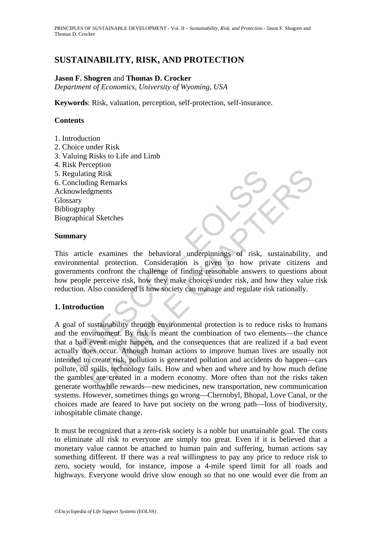# **SUSTAINABILITY, RISK, AND PROTECTION**

## **Jason F. Shogren** and **Thomas D. Crocker**

*Department of Economics, University of Wyoming, USA* 

**Keywords**: Risk, valuation, perception, self-protection, self-insurance.

### **Contents**

- 1. Introduction
- 2. Choice under Risk
- 3. Valuing Risks to Life and Limb
- 4. Risk Perception
- 5. Regulating Risk
- 6. Concluding Remarks Acknowledgments Glossary Bibliography

Biographical Sketches

#### **Summary**

This article examines the behavioral underpinnings of risk, sustainability, and environmental protection. Consideration is given to how private citizens and governments confront the challenge of finding reasonable answers to questions about how people perceive risk, how they make choices under risk, and how they value risk reduction. Also considered is how society can manage and regulate risk rationally.

### **1. Introduction**

egulating Risk<br>
shockluding Remarks<br>
shockluding Remarks<br>
shockluding Remarks<br>
shockly erraphical Sketches<br> **and the examines the behavioral underpinnings** of risk,<br>
informant all protection. Consideration is given to how mg Risk<br>
hy all Sketches<br>
dgments<br>
hy all Sketches<br>
dgments<br>
hy all Sketches<br>
dgments<br>
that protection. Consideration is given to how private citizens<br>
that states considered in the challenge of finding reasonable answers A goal of sustainability through environmental protection is to reduce risks to humans and the environment. By risk is meant the combination of two elements—the chance that a bad event might happen, and the consequences that are realized if a bad event actually does occur. Athough human actions to improve human lives are usually not intended to create risk, pollution is generated pollution and accidents do happen—cars pollute, oil spills, technology fails. How and when and where and by how much define the gambles are created in a modern economy. More often than not the risks taken generate worthwhile rewards—new medicines, new transportation, new communication systems. However, sometimes things go wrong—Chernobyl, Bhopal, Love Canal, or the choices made are feared to have put society on the wrong path—loss of biodiversity, inhospitable climate change.

It must be recognized that a zero-risk society is a noble but unattainable goal. The costs to eliminate all risk to everyone are simply too great. Even if it is believed that a monetary value cannot be attached to human pain and suffering, human actions say something different. If there was a real willingness to pay any price to reduce risk to zero, society would, for instance, impose a 4-mile speed limit for all roads and highways. Everyone would drive slow enough so that no one would ever die from an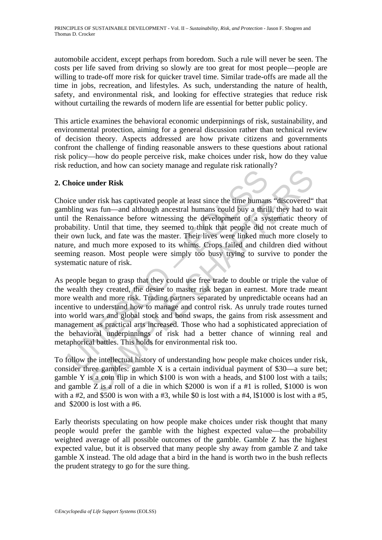automobile accident, except perhaps from boredom. Such a rule will never be seen. The costs per life saved from driving so slowly are too great for most people—people are willing to trade-off more risk for quicker travel time. Similar trade-offs are made all the time in jobs, recreation, and lifestyles. As such, understanding the nature of health, safety, and environmental risk, and looking for effective strategies that reduce risk without curtailing the rewards of modern life are essential for better public policy.

This article examines the behavioral economic underpinnings of risk, sustainability, and environmental protection, aiming for a general discussion rather than technical review of decision theory. Aspects addressed are how private citizens and governments confront the challenge of finding reasonable answers to these questions about rational risk policy—how do people perceive risk, make choices under risk, how do they value risk reduction, and how can society manage and regulate risk rationally?

### **2. Choice under Risk**

Thoice under Risk<br>ice under Risk<br>ice under risk has captivated people at least since the time human<br>biling was fun—and although ancestral humans could buy a thril<br>1 the Renaissance before witnessing the development of a sy and material and though and extends the time in the interaction is in a set of the interaction is it at act in the interaction of a systematic theor. Until that time, they had to benaissance before winnessing the developm Choice under risk has captivated people at least since the time humans "discovered" that gambling was fun—and although ancestral humans could buy a thrill, they had to wait until the Renaissance before witnessing the development of a systematic theory of probability. Until that time, they seemed to think that people did not create much of their own luck, and fate was the master. Their lives were linked much more closely to nature, and much more exposed to its whims. Crops failed and children died without seeming reason. Most people were simply too busy trying to survive to ponder the systematic nature of risk.

As people began to grasp that they could use free trade to double or triple the value of the wealth they created, the desire to master risk began in earnest. More trade meant more wealth and more risk. Trading partners separated by unpredictable oceans had an incentive to understand how to manage and control risk. As unruly trade routes turned into world wars and global stock and bond swaps, the gains from risk assessment and management as practical arts increased. Those who had a sophisticated appreciation of the behavioral underpinnings of risk had a better chance of winning real and metaphorical battles. This holds for environmental risk too.

To follow the intellectual history of understanding how people make choices under risk, consider three gambles: gamble X is a certain individual payment of \$30—a sure bet; gamble Y is a coin flip in which \$100 is won with a heads, and \$100 lost with a tails; and gamble Z is a roll of a die in which \$2000 is won if a #1 is rolled, \$1000 is won with a  $#2$ , and \$500 is won with a  $#3$ , while \$0 is lost with a  $#4$ , 1\$1000 is lost with a  $#5$ , and \$2000 is lost with a #6.

Early theorists speculating on how people make choices under risk thought that many people would prefer the gamble with the highest expected value—the probability weighted average of all possible outcomes of the gamble. Gamble Z has the highest expected value, but it is observed that many people shy away from gamble Z and take gamble X instead. The old adage that a bird in the hand is worth two in the bush reflects the prudent strategy to go for the sure thing.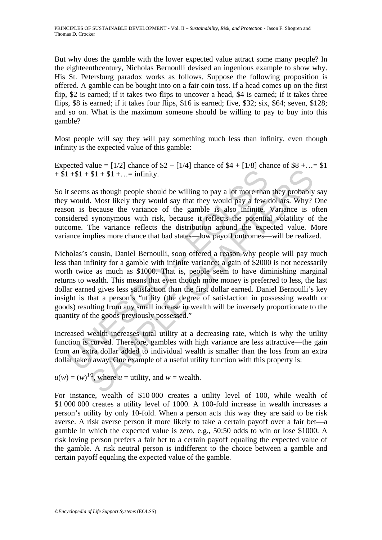But why does the gamble with the lower expected value attract some many people? In the eighteenthcentury, Nicholas Bernoulli devised an ingenious example to show why. His St. Petersburg paradox works as follows. Suppose the following proposition is offered. A gamble can be bought into on a fair coin toss. If a head comes up on the first flip, \$2 is earned; if it takes two flips to uncover a head, \$4 is earned; if it takes three flips, \$8 is earned; if it takes four flips, \$16 is earned; five, \$32; six, \$64; seven, \$128; and so on. What is the maximum someone should be willing to pay to buy into this gamble?

Most people will say they will pay something much less than infinity, even though infinity is the expected value of this gamble:

Expected value =  $[1/2]$  chance of \$2 +  $[1/4]$  chance of \$4 +  $[1/8]$  chance of \$8 +...= \$1  $+ $1 + $1 + $1 + $1 + \ldots =$  infinity.

So it seems as though people should be willing to pay a lot more than they probably say they would. Most likely they would say that they would pay a few dollars. Why? One reason is because the variance of the gamble is also infinite. Variance is often considered synonymous with risk, because it reflects the potential volatility of the outcome. The variance reflects the distribution around the expected value. More variance implies more chance that bad states—low payoff outcomes—will be realized.

 $1 + $1 + $1 + $1 + \ldots =$  infinity.<br>
t seems as though people should be willing to pay a lot more than<br>
would. Most likely they would say that they would pay a few<br>
would. Most likely they would say that they would pay a few<br>
com S1 + \$1 +...= infinity.<br>
Sas though people should be willing to pay a lot more than they probably<br>
1. Most likely they would say that they would pay a few dollars. Why?<br>
because the variance of the gamble is also infinite Nicholas's cousin, Daniel Bernoulli, soon offered a reason why people will pay much less than infinity for a gamble with infinite variance: a gain of \$2000 is not necessarily worth twice as much as \$1000. That is, people seem to have diminishing marginal returns to wealth. This means that even though more money is preferred to less, the last dollar earned gives less satisfaction than the first dollar earned. Daniel Bernoulli's key insight is that a person's "utility (the degree of satisfaction in possessing wealth or goods) resulting from any small increase in wealth will be inversely proportionate to the quantity of the goods previously possessed."

Increased wealth increases total utility at a decreasing rate, which is why the utility function is curved. Therefore, gambles with high variance are less attractive—the gain from an extra dollar added to individual wealth is smaller than the loss from an extra dollar taken away. One example of a useful utility function with this property is:

 $u(w) = (w)^{1/2}$ , where  $u =$  utility, and  $w =$  wealth.

For instance, wealth of \$10 000 creates a utility level of 100, while wealth of \$1 000 000 creates a utility level of 1000. A 100-fold increase in wealth increases a person's utility by only 10-fold. When a person acts this way they are said to be risk averse. A risk averse person if more likely to take a certain payoff over a fair bet—a gamble in which the expected value is zero, e.g., 50:50 odds to win or lose \$1000. A risk loving person prefers a fair bet to a certain payoff equaling the expected value of the gamble. A risk neutral person is indifferent to the choice between a gamble and certain payoff equaling the expected value of the gamble.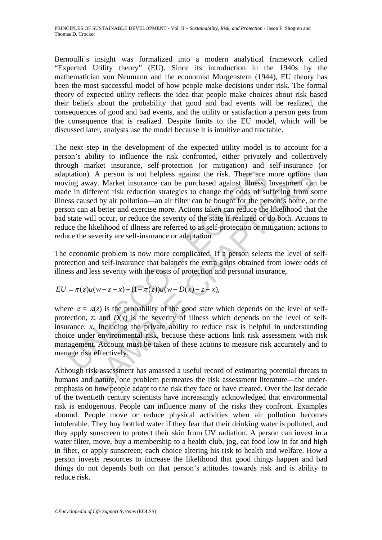Bernoulli's insight was formalized into a modern analytical framework called "Expected Utility theory" (EU). Since its introduction in the 1940s by the mathematician von Neumann and the economist Morgenstern (1944), EU theory has been the most successful model of how people make decisions under risk. The formal theory of expected utility reflects the idea that people make choices about risk based their beliefs about the probability that good and bad events will be realized, the consequences of good and bad events, and the utility or satisfaction a person gets from the consequence that is realized. Despite limits to the EU model, which will be discussed later, analysts use the model because it is intuitive and tractable.

by the probability of the probability of these actions in the risk and<br>near the risk and the action of the action of the action of the action<br>of the action of the perception of the perception of the perception of the perc i. A person is not helpless against the risk. There are more options<br>ay. Market insurance can be purchased against illness, Investment car<br>fferent risk reduction strateges to change the odds of suffering from<br>seed by air The next step in the development of the expected utility model is to account for a person's ability to influence the risk confronted, either privately and collectively through market insurance, self-protection (or mitigation) and self-insurance (or adaptation). A person is not helpless against the risk. There are more options than moving away. Market insurance can be purchased against illness. Investment can be made in different risk reduction strategies to change the odds of suffering from some illness caused by air pollution—an air filter can be bought for the person's home, or the person can at better and exercise more. Actions taken can reduce the likelihood that the bad state will occur, or reduce the severity of the state if realized or do both. Actions to reduce the likelihood of illness are referred to as self-protection or mitigation; actions to reduce the severity are self-insurance or adaptation.

The economic problem is now more complicated. If a person selects the level of selfprotection and self-insurance that balances the extra gains obtained from lower odds of illness and less severity with the costs of protection and personal insurance,

$$
EU = \pi(z)u(w - z - x) + (1 - \pi(z))u(w - D(x) - z - x),
$$

where  $\pi = \pi(z)$  is the probability of the good state which depends on the level of selfprotection, *z*; and  $D(x)$  is the severity of illness which depends on the level of selfinsurance, *x*. Including the private ability to reduce risk is helpful in understanding choice under environmental risk, because these actions link risk assessment with risk management. Account must be taken of these actions to measure risk accurately and to manage risk effectively.

Although risk assessment has amassed a useful record of estimating potential threats to humans and nature, one problem permeates the risk assessment literature—the underemphasis on how people adapt to the risk they face or have created. Over the last decade of the twentieth century scientists have increasingly acknowledged that environmental risk is endogenous. People can influence many of the risks they confront. Examples abound. People move or reduce physical activities when air pollution becomes intolerable. They buy bottled water if they fear that their drinking water is polluted, and they apply sunscreen to protect their skin from UV radiation. A person can invest in a water filter, move, buy a membership to a health club, jog, eat food low in fat and high in fiber, or apply sunscreen; each choice altering his risk to health and welfare. How a person invests resources to increase the likelihood that good things happen and bad things do not depends both on that person's attitudes towards risk and is ability to reduce risk.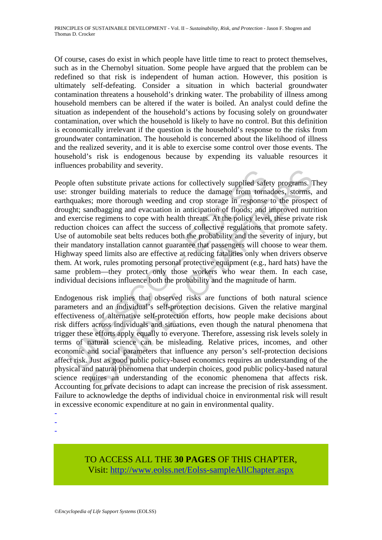Of course, cases do exist in which people have little time to react to protect themselves, such as in the Chernobyl situation. Some people have argued that the problem can be redefined so that risk is independent of human action. However, this position is ultimately self-defeating. Consider a situation in which bacterial groundwater contamination threatens a household's drinking water. The probability of illness among household members can be altered if the water is boiled. An analyst could define the situation as independent of the household's actions by focusing solely on groundwater contamination, over which the household is likely to have no control. But this definition is economically irrelevant if the question is the household's response to the risks from groundwater contamination. The household is concerned about the likelihood of illness and the realized severity, and it is able to exercise some control over those events. The household's risk is endogenous because by expending its valuable resources it influences probability and severity.

ple often substitute private actions for collectively supplied safe<br>stronger building materials to reduce the damage from torna<br>hquakes; more thorough weeding and crop storage in response<br>alget, sandbagging and evacuation realisation private priority supplied safety programs. The substitute prioritions for collectively supplied safety programs. It, the notion start and the demage from tornadoes, storms, sty more thorough weeding and crop st People often substitute private actions for collectively supplied safety programs. They use: stronger building materials to reduce the damage from tornadoes, storms, and earthquakes; more thorough weeding and crop storage in response to the prospect of drought; sandbagging and evacuation in anticipation of floods; and improved nutrition and exercise regimens to cope with health threats. At the policy level, these private risk reduction choices can affect the success of collective regulations that promote safety. Use of automobile seat belts reduces both the probability and the severity of injury, but their mandatory installation cannot guarantee that passengers will choose to wear them. Highway speed limits also are effective at reducing fatalities only when drivers observe them. At work, rules promoting personal protective equipment (e.g., hard hats) have the same problem—they protect only those workers who wear them. In each case, individual decisions influence both the probability and the magnitude of harm.

Endogenous risk implies that observed risks are functions of both natural science parameters and an individual's self-protection decisions. Given the relative marginal effectiveness of alternative self-protection efforts, how people make decisions about risk differs across individuals and situations, even though the natural phenomena that trigger these efforts apply equally to everyone. Therefore, assessing risk levels solely in terms of natural science can be misleading. Relative prices, incomes, and other economic and social parameters that influence any person's self-protection decisions affect risk. Just as good public policy-based economics requires an understanding of the physical and natural phenomena that underpin choices, good public policy-based natural science requires an understanding of the economic phenomena that affects risk. Accounting for private decisions to adapt can increase the precision of risk assessment. Failure to acknowledge the depths of individual choice in environmental risk will result in excessive economic expenditure at no gain in environmental quality.

-

-

-

## TO ACCESS ALL THE **30 PAGES** OF THIS CHAPTER, Visit[: http://www.eolss.net/Eolss-sampleAllChapter.aspx](https://www.eolss.net/ebooklib/sc_cart.aspx?File=E1-46A-04)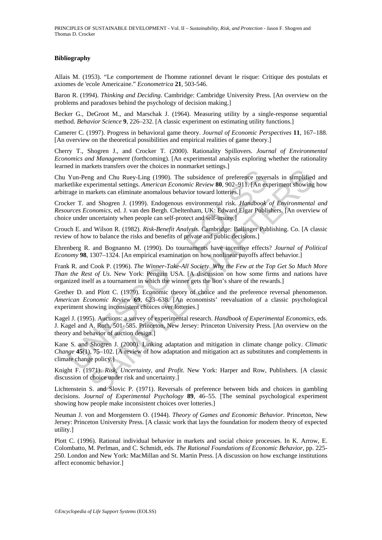#### **Bibliography**

Allais M. (1953). "Le comportement de l'homme rationnel devant le risque: Critique des postulats et axiomes de 'ecole Americaine." *Econometrica* **21**, 503-546.

Baron R. (1994). *Thinking and Deciding*. Cambridge: Cambridge University Press. [An overview on the problems and paradoxes behind the psychology of decision making.]

Becker G., DeGroot M., and Marschak J. (1964). Measuring utility by a single-response sequential method. *Behavior Science* **9**, 226–232. [A classic experiment on estimating utility functions.]

Camerer C. (1997). Progress in behavioral game theory. *Journal of Economic Perspectives* **11**, 167–188. [An overview on the theoretical possibilities and empirical realities of game theory.]

Cherry T., Shogren J., and Crocker T. (2000). Rationality Spillovers. *Journal of Environmental Economics and Management* (forthcoming). [An experimental analysis exploring whether the rationality learned in markets transfers over the choices in nonmarket settings.]

Chu Yun-Peng and Chu Ruey-Ling (1990). The subsidence of preference reversals in simplified and marketlike experimental settings. *American Economic Review* **80**, 902–911. [An experiment showing how arbitrage in markets can eliminate anomalous behavior toward lotteries.]

Crocker T. and Shogren J. (1999). Endogenous environmental risk. *Handbook of Environmental and Resources Economics*, ed. J. van den Bergh. Cheltenham, UK: Edward Elgar Publishers. [An overview of choice under uncertainty when people can self-protect and self-insure.]

Crouch E. and Wilson R. (1982). *Risk-Benefit Analysis*. Cambridge: Ballinger Publishing. Co. [A classic review of how to balance the risks and benefits of private and public decisions.]

Ehrenberg R. and Bognanno M. (1990). Do tournaments have incentive effects? *Journal of Political Economy* **98**, 1307–1324. [An empirical examination on how nonlinear payoffs affect behavior.]

Yun-Peng and Chu Ruey-Ling (1990). The subsidence of preference reverteilike experimental settings. *American Economic Review* **80**, 902–911. [An exparage in markets can eliminate anomalous behavior toward lotteries.]<br>
ke and Chu Ruey-Ling (1990). The subsidence of preference reversals in simplified<br>perimental settings. American Economic Review 80, 902-911. [An experiment showing<br>arkets can eliminate anomalous behavior toward lotteries.]<br>n Frank R. and Cook P. (1996). *The Winner-Take-All Society*. *Why the Few at the Top Get So Much More Than the Rest of Us*. New York: Penguin USA. [A discussion on how some firms and nations have organized itself as a tournament in which the winner gets the lion's share of the rewards.]

Grether D. and Plott C. (1979). Economic theory of choice and the preference reversal phenomenon. *American Economic Review* **69**, 623–638. [An economists' reevaluation of a classic psychological experiment showing inconsistent choices over lotteries.]

Kagel J. (1995). Auctions: a survey of experimental research. *Handbook of Experimental Economics*, eds. J. Kagel and A. Roth, 501–585. Princeton, New Jersey: Princeton University Press. [An overview on the theory and behavior of auction design.]

Kane S. and Shogren J. (2000). Linking adaptation and mitigation in climate change policy. *Climatic Change* **45**(1), 75–102. [A review of how adaptation and mitigation act as substitutes and complements in climate change policy.]

Knight F. (1971). *Risk, Uncertainty, and Profit*. New York: Harper and Row, Publishers. [A classic discussion of choice under risk and uncertainty.]

Lichtenstein S. and Slovic P. (1971). Reversals of preference between bids and choices in gambling decisions. *Journal of Experimental Psychology* **89**, 46–55. [The seminal psychological experiment showing how people make inconsistent choices over lotteries.]

Neuman J. von and Morgenstern O. (1944). *Theory of Games and Economic Behavior*. Princeton, New Jersey: Princeton University Press. [A classic work that lays the foundation for modern theory of expected utility.]

Plott C. (1996). Rational individual behavior in markets and social choice processes. In K. Arrow, E. Colombatto, M. Perlman, and C. Schmidt, eds. *The Rational Foundations of Economic Behavior,* pp. 225- 250. London and New York: MacMillan and St. Martin Press. [A discussion on how exchange institutions affect economic behavior.]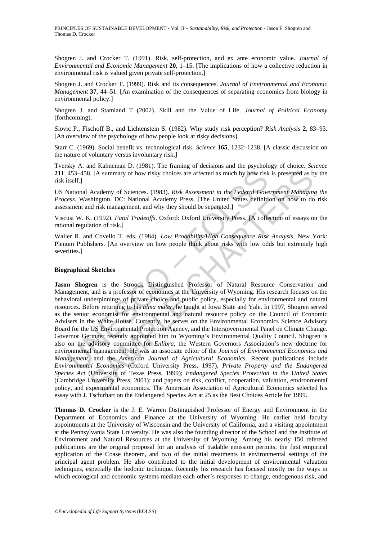PRINCIPLES OF SUSTAINABLE DEVELOPMENT - Vol. II – *Sustainability, Risk, and Protection* - Jason F. Shogren and Thomas D. Crocker

Shogren J. and Crocker T. (1991). Risk, self-protection, and ex ante economic value. *Journal of Environmental and Economic Management* **20**, 1–15. [The implications of how a collective reduction in environmental risk is valued given private self-protection.]

Shogren J. and Crocker T. (1999). Risk and its consequences. *Journal of Environmental and Economic Management* **37**, 44–51. [An examination of the consequences of separating economics from biology in environmental policy.]

Shogren J. and Stamland T (2002). Skill and the Value of Life. *Journal of Political Economy* (forthcoming).

Slovic P., Fischoff B., and Lichtenstein S. (1982). Why study risk perception? *Risk Analysis* **2**, 83–93. [An overview of the psychology of how people look at risky decisions]

Starr C. (1969). Social benefit vs. technological risk. *Science* **165**, 1232–1238. [A classic discussion on the nature of voluntary versus involuntary risk.]

Tversky A. and Kahneman D. (1981). The framing of decisions and the psychology of choice. *Science*  **211**, 453–458. [A summary of how risky choices are affected as much by how risk is presented as by the risk itself.]

US National Academy of Sciences. (1983). *Risk Assessment in the Federal Government Managing the Process*. Washington, DC: National Academy Press. [The United States definition on how to do risk assessment and risk management, and why they should be separated.]

Viscusi W. K. (1992). *Fatal Tradeoffs*. Oxford: Oxford University Press. [A collection of essays on the rational regulation of risk.]

Waller R. and Covello T. eds. (1984). *Low Probability/High Consequence Risk Analysis*. New York: Plenum Publishers. [An overview on how people think about risks with low odds but extremely high severities.]

#### **Biographical Sketches**

453-458. [A summary of how risky choices are affected as much by how risk<br>stistlf.]<br>National Academy of Sciences. (1983). *Risk Assessment in the Federal Govessment* and risk management, and why they should be separated.]<br> SA Facurement of the same and the same of the same of the system of the Endany<br>S. [A summary of how risky choices are affected as much by how risk is presented as b<br>Academy of Sciences. (1983). Risk Assessment in the Feder **Jason Shogren** is the Stroock Distinguished Professor of Natural Resource Conservation and Management, and is a professor of economics at the University of Wyoming. His research focuses on the behavioral underpinnings of private choice and public policy, especially for environmental and natural resources. Before returning to his *alma mater*, he taught at Iowa State and Yale. In 1997, Shogren served as the senior economist for environmental and natural resource policy on the Council of Economic Advisers in the White House. Currently, he serves on the Environmental Economics Science Advisory Board for the US Environmental Protection Agency, and the Intergovernmental Panel on Climate Change. Governor Geringer recently appointed him to Wyoming's Environmental Quality Council. Shogren is also on the advisory committee for *Enlibra*, the Western Governors Association's new doctrine for environmental management. He was an associate editor of the *Journal of Environmental Economics and Management*, and the *American Journal of Agricultural Economics*. Recent publications include *Environmental Economics* (Oxford University Press, 1997), *Private Property and the Endangered Species Act* (University of Texas Press, 1999); *Endangered Species Protection in the United States*  (Cambridge University Press, 2001); and papers on risk, conflict, cooperation, valuation, environmental policy, and experimental economics. The American Association of Agricultural Economics selected his essay with J. Tschirhart on the Endangered Species Act at 25 as the Best Choices Article for 1999.

**Thomas D. Crocker** is the J. E. Warren Distinguished Professor of Energy and Environment in the Department of Economics and Finance at the University of Wyoming. He earlier held faculty appointments at the University of Wisconsin and the University of California, and a visiting appointment at the Pennsylvania State University. He was also the founding director of the School and the Institute of Environment and Natural Resources at the University of Wyoming. Among his nearly 150 refereed publications are the original proposal for an analysis of tradable emission permits, the first empirical application of the Coase theorem, and two of the initial treatments in environmental settings of the principal agent problem. He also contributed to the initial development of environmental valuation techniques, especially the hedonic technique. Recently his research has focused mostly on the ways in which ecological and economic systems mediate each other's responses to change, endogenous risk, and